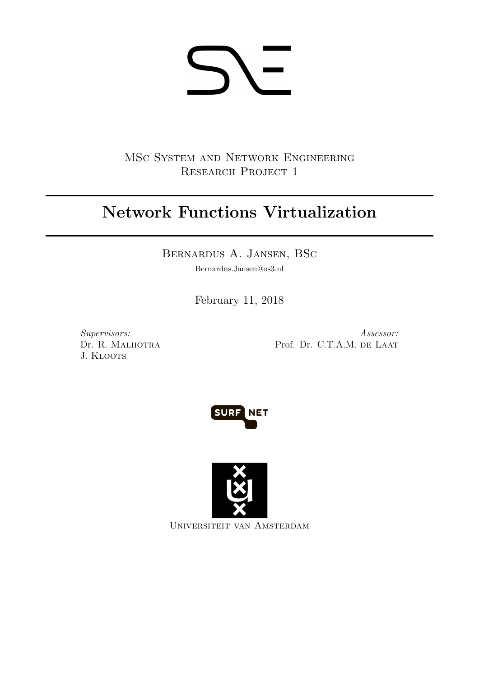# 5 ヽ-

MSc System and Network Engineering RESEARCH PROJECT 1

# Network Functions Virtualization

Bernardus A. Jansen, BSc

Bernardus.Jansen@os3.nl

February 11, 2018

Supervisors: Dr. R. Malhotra J. KLOOTS

Assessor: Prof. Dr. C.T.A.M. DE LAAT





Universiteit van Amsterdam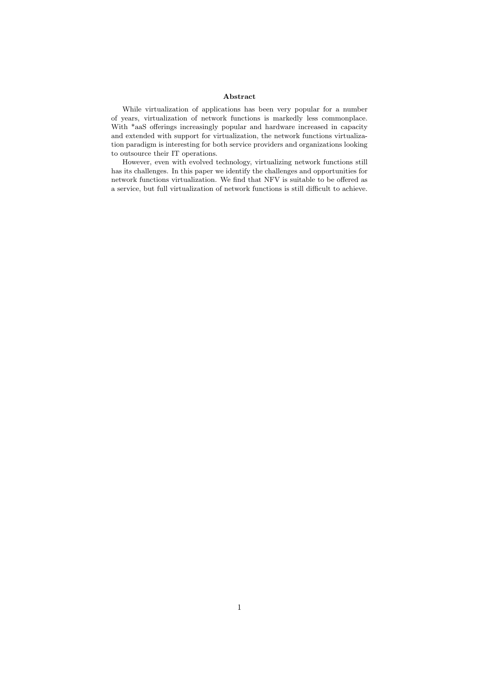#### Abstract

While virtualization of applications has been very popular for a number of years, virtualization of network functions is markedly less commonplace. With \*aaS offerings increasingly popular and hardware increased in capacity and extended with support for virtualization, the network functions virtualization paradigm is interesting for both service providers and organizations looking to outsource their IT operations.

However, even with evolved technology, virtualizing network functions still has its challenges. In this paper we identify the challenges and opportunities for network functions virtualization. We find that NFV is suitable to be offered as a service, but full virtualization of network functions is still difficult to achieve.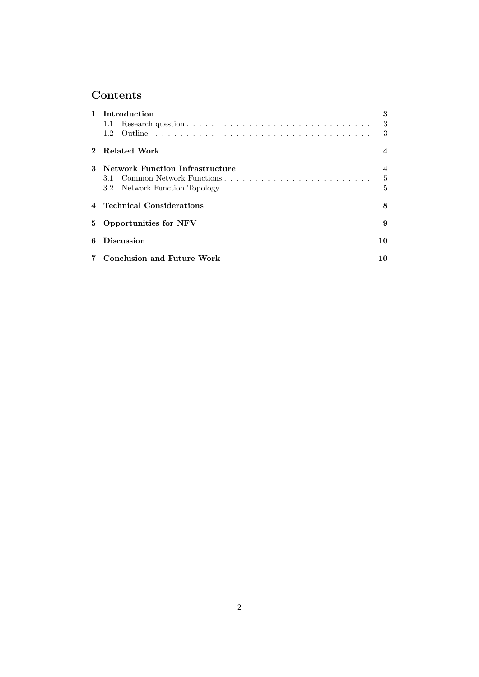# Contents

|   | 1 Introduction                         | 3              |
|---|----------------------------------------|----------------|
|   | 1.1                                    | 3              |
|   | 1.2                                    | 3              |
|   | Related Work                           | 4              |
| 3 | <b>Network Function Infrastructure</b> | 4              |
|   | 3.1                                    | $\frac{5}{2}$  |
|   |                                        | $\overline{5}$ |
|   | 4 Technical Considerations             | 8              |
| 5 | <b>Opportunities for NFV</b>           | 9              |
| 6 | <b>Discussion</b>                      | 10             |
|   | <b>Conclusion and Future Work</b>      | 10             |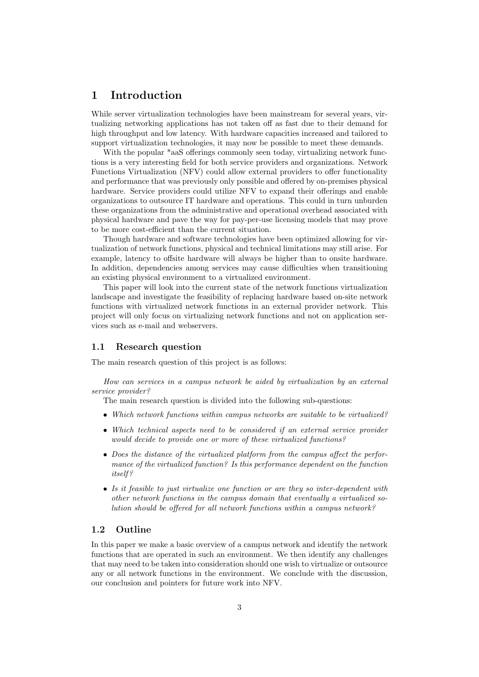# 1 Introduction

While server virtualization technologies have been mainstream for several years, virtualizing networking applications has not taken off as fast due to their demand for high throughput and low latency. With hardware capacities increased and tailored to support virtualization technologies, it may now be possible to meet these demands.

With the popular \*aaS offerings commonly seen today, virtualizing network functions is a very interesting field for both service providers and organizations. Network Functions Virtualization (NFV) could allow external providers to offer functionality and performance that was previously only possible and offered by on-premises physical hardware. Service providers could utilize NFV to expand their offerings and enable organizations to outsource IT hardware and operations. This could in turn unburden these organizations from the administrative and operational overhead associated with physical hardware and pave the way for pay-per-use licensing models that may prove to be more cost-efficient than the current situation.

Though hardware and software technologies have been optimized allowing for virtualization of network functions, physical and technical limitations may still arise. For example, latency to offsite hardware will always be higher than to onsite hardware. In addition, dependencies among services may cause difficulties when transitioning an existing physical environment to a virtualized environment.

This paper will look into the current state of the network functions virtualization landscape and investigate the feasibility of replacing hardware based on-site network functions with virtualized network functions in an external provider network. This project will only focus on virtualizing network functions and not on application services such as e-mail and webservers.

#### 1.1 Research question

The main research question of this project is as follows:

How can services in a campus network be aided by virtualization by an external service provider?

The main research question is divided into the following sub-questions:

- Which network functions within campus networks are suitable to be virtualized?
- Which technical aspects need to be considered if an external service provider would decide to provide one or more of these virtualized functions?
- Does the distance of the virtualized platform from the campus affect the performance of the virtualized function? Is this performance dependent on the function itself ?
- Is it feasible to just virtualize one function or are they so inter-dependent with other network functions in the campus domain that eventually a virtualized solution should be offered for all network functions within a campus network?

#### 1.2 Outline

In this paper we make a basic overview of a campus network and identify the network functions that are operated in such an environment. We then identify any challenges that may need to be taken into consideration should one wish to virtualize or outsource any or all network functions in the environment. We conclude with the discussion, our conclusion and pointers for future work into NFV.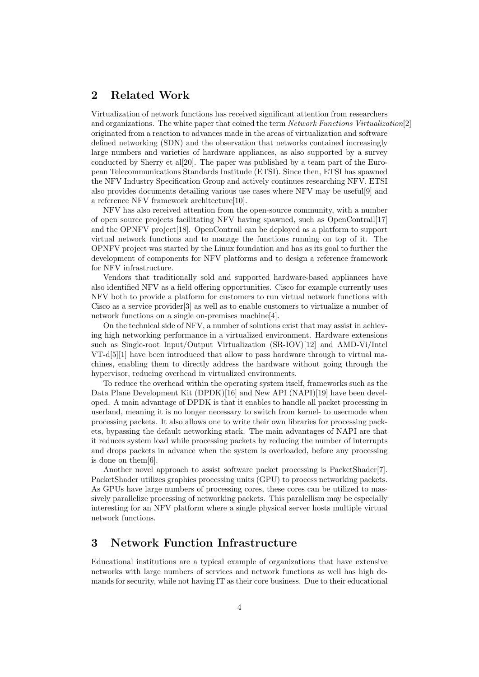# 2 Related Work

Virtualization of network functions has received significant attention from researchers and organizations. The white paper that coined the term Network Functions Virtualization[2] originated from a reaction to advances made in the areas of virtualization and software defined networking (SDN) and the observation that networks contained increasingly large numbers and varieties of hardware appliances, as also supported by a survey conducted by Sherry et al[20]. The paper was published by a team part of the European Telecommunications Standards Institude (ETSI). Since then, ETSI has spawned the NFV Industry Specification Group and actively continues researching NFV. ETSI also provides documents detailing various use cases where NFV may be useful[9] and a reference NFV framework architecture[10].

NFV has also received attention from the open-source community, with a number of open source projects facilitating NFV having spawned, such as OpenContrail[17] and the OPNFV project[18]. OpenContrail can be deployed as a platform to support virtual network functions and to manage the functions running on top of it. The OPNFV project was started by the Linux foundation and has as its goal to further the development of components for NFV platforms and to design a reference framework for NFV infrastructure.

Vendors that traditionally sold and supported hardware-based appliances have also identified NFV as a field offering opportunities. Cisco for example currently uses NFV both to provide a platform for customers to run virtual network functions with Cisco as a service provider[3] as well as to enable customers to virtualize a number of network functions on a single on-premises machine[4].

On the technical side of NFV, a number of solutions exist that may assist in achieving high networking performance in a virtualized environment. Hardware extensions such as Single-root Input/Output Virtualization (SR-IOV)[12] and AMD-Vi/Intel VT-d[5][1] have been introduced that allow to pass hardware through to virtual machines, enabling them to directly address the hardware without going through the hypervisor, reducing overhead in virtualized environments.

To reduce the overhead within the operating system itself, frameworks such as the Data Plane Development Kit (DPDK)[16] and New API (NAPI)[19] have been developed. A main advantage of DPDK is that it enables to handle all packet processing in userland, meaning it is no longer necessary to switch from kernel- to usermode when processing packets. It also allows one to write their own libraries for processing packets, bypassing the default networking stack. The main advantages of NAPI are that it reduces system load while processing packets by reducing the number of interrupts and drops packets in advance when the system is overloaded, before any processing is done on them[6].

Another novel approach to assist software packet processing is PacketShader[7]. PacketShader utilizes graphics processing units (GPU) to process networking packets. As GPUs have large numbers of processing cores, these cores can be utilized to massively parallelize processing of networking packets. This paralellism may be especially interesting for an NFV platform where a single physical server hosts multiple virtual network functions.

### 3 Network Function Infrastructure

Educational institutions are a typical example of organizations that have extensive networks with large numbers of services and network functions as well has high demands for security, while not having IT as their core business. Due to their educational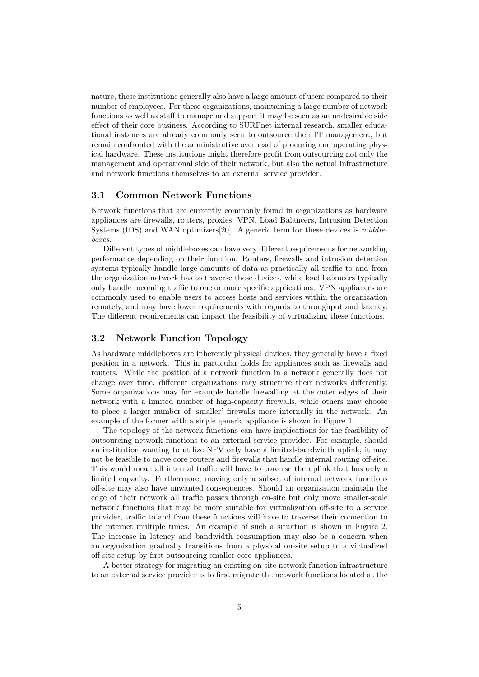nature, these institutions generally also have a large amount of users compared to their number of employees. For these organizations, maintaining a large number of network functions as well as staff to manage and support it may be seen as an undesirable side effect of their core business. According to SURFnet internal research, smaller educational instances are already commonly seen to outsource their IT management, but remain confronted with the administrative overhead of procuring and operating physical hardware. These institutions might therefore profit from outsourcing not only the management and operational side of their network, but also the actual infrastructure and network functions themselves to an external service provider.

#### 3.1 Common Network Functions

Network functions that are currently commonly found in organizations as hardware appliances are firewalls, routers, proxies, VPN, Load Balancers, Intrusion Detection Systems (IDS) and WAN optimizers[20]. A generic term for these devices is  $middle$ boxes.

Different types of middleboxes can have very different requirements for networking performance depending on their function. Routers, firewalls and intrusion detection systems typically handle large amounts of data as practically all traffic to and from the organization network has to traverse these devices, while load balancers typically only handle incoming traffic to one or more specific applications. VPN appliances are commonly used to enable users to access hosts and services within the organization remotely, and may have lower requirements with regards to throughput and latency. The different requirements can impact the feasibility of virtualizing these functions.

#### 3.2 Network Function Topology

As hardware middleboxes are inherently physical devices, they generally have a fixed position in a network. This in particular holds for appliances such as firewalls and routers. While the position of a network function in a network generally does not change over time, different organizations may structure their networks differently. Some organizations may for example handle firewalling at the outer edges of their network with a limited number of high-capacity firewalls, while others may choose to place a larger number of 'smaller' firewalls more internally in the network. An example of the former with a single generic appliance is shown in Figure 1.

The topology of the network functions can have implications for the feasibility of outsourcing network functions to an external service provider. For example, should an institution wanting to utilize NFV only have a limited-bandwidth uplink, it may not be feasible to move core routers and firewalls that handle internal routing off-site. This would mean all internal traffic will have to traverse the uplink that has only a limited capacity. Furthermore, moving only a subset of internal network functions off-site may also have unwanted consequences. Should an organization maintain the edge of their network all traffic passes through on-site but only move smaller-scale network functions that may be more suitable for virtualization off-site to a service provider, traffic to and from these functions will have to traverse their connection to the internet multiple times. An example of such a situation is shown in Figure 2. The increase in latency and bandwidth consumption may also be a concern when an organization gradually transitions from a physical on-site setup to a virtualized off-site setup by first outsourcing smaller core appliances.

A better strategy for migrating an existing on-site network function infrastructure to an external service provider is to first migrate the network functions located at the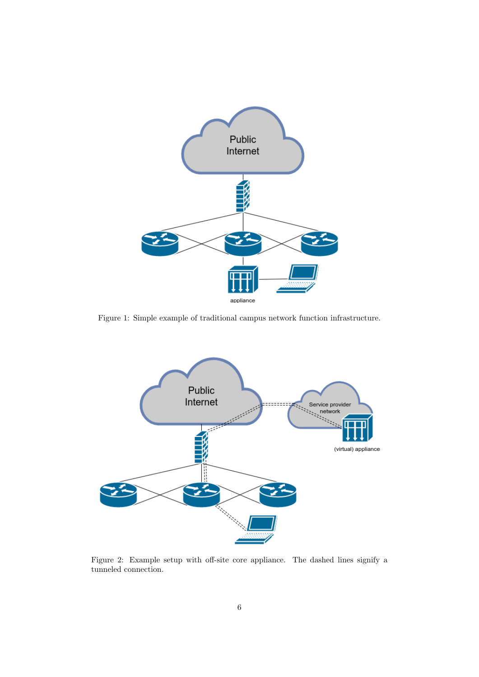

Figure 1: Simple example of traditional campus network function infrastructure.



Figure 2: Example setup with off-site core appliance. The dashed lines signify a tunneled connection.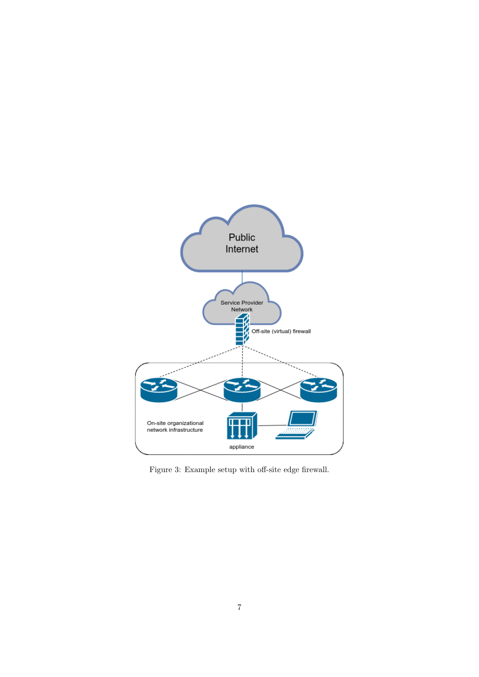

Figure 3: Example setup with off-site edge firewall.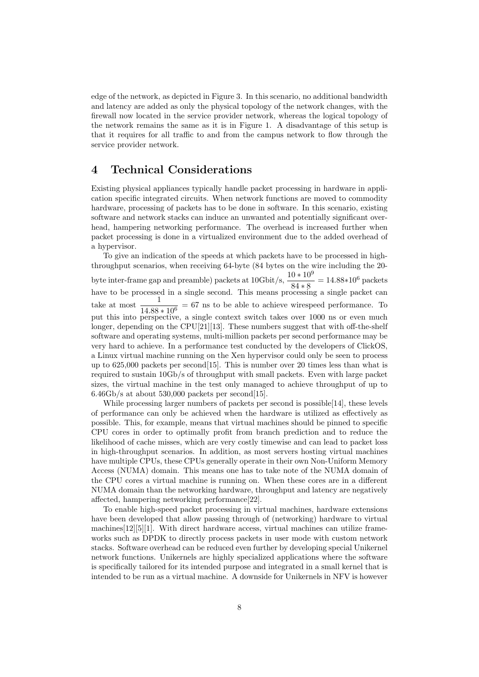edge of the network, as depicted in Figure 3. In this scenario, no additional bandwidth and latency are added as only the physical topology of the network changes, with the firewall now located in the service provider network, whereas the logical topology of the network remains the same as it is in Figure 1. A disadvantage of this setup is that it requires for all traffic to and from the campus network to flow through the service provider network.

### 4 Technical Considerations

Existing physical appliances typically handle packet processing in hardware in application specific integrated circuits. When network functions are moved to commodity hardware, processing of packets has to be done in software. In this scenario, existing software and network stacks can induce an unwanted and potentially significant overhead, hampering networking performance. The overhead is increased further when packet processing is done in a virtualized environment due to the added overhead of a hypervisor.

To give an indication of the speeds at which packets have to be processed in highthroughput scenarios, when receiving 64-byte (84 bytes on the wire including the 20 byte inter-frame gap and preamble) packets at  $10\text{Gbit/s}, \frac{10 * 10^9}{84 * 8} = 14.88 * 10^6$  packets have to be processed in a single second. This means processing a single packet can take at most  $\frac{1}{14.88 * 10^6} = 67$  ns to be able to achieve wirespeed performance. To put this into perspective, a single context switch takes over 1000 ns or even much longer, depending on the CPU[21][13]. These numbers suggest that with off-the-shelf software and operating systems, multi-million packets per second performance may be very hard to achieve. In a performance test conducted by the developers of ClickOS, a Linux virtual machine running on the Xen hypervisor could only be seen to process up to 625,000 packets per second[15]. This is number over 20 times less than what is required to sustain 10Gb/s of throughput with small packets. Even with large packet sizes, the virtual machine in the test only managed to achieve throughput of up to  $6.46\text{Gb/s}$  at about 530,000 packets per second [15].

While processing larger numbers of packets per second is possible[14], these levels of performance can only be achieved when the hardware is utilized as effectively as possible. This, for example, means that virtual machines should be pinned to specific CPU cores in order to optimally profit from branch prediction and to reduce the likelihood of cache misses, which are very costly timewise and can lead to packet loss in high-throughput scenarios. In addition, as most servers hosting virtual machines have multiple CPUs, these CPUs generally operate in their own Non-Uniform Memory Access (NUMA) domain. This means one has to take note of the NUMA domain of the CPU cores a virtual machine is running on. When these cores are in a different NUMA domain than the networking hardware, throughput and latency are negatively affected, hampering networking performance[22].

To enable high-speed packet processing in virtual machines, hardware extensions have been developed that allow passing through of (networking) hardware to virtual machines[12][5][1]. With direct hardware access, virtual machines can utilize frameworks such as DPDK to directly process packets in user mode with custom network stacks. Software overhead can be reduced even further by developing special Unikernel network functions. Unikernels are highly specialized applications where the software is specifically tailored for its intended purpose and integrated in a small kernel that is intended to be run as a virtual machine. A downside for Unikernels in NFV is however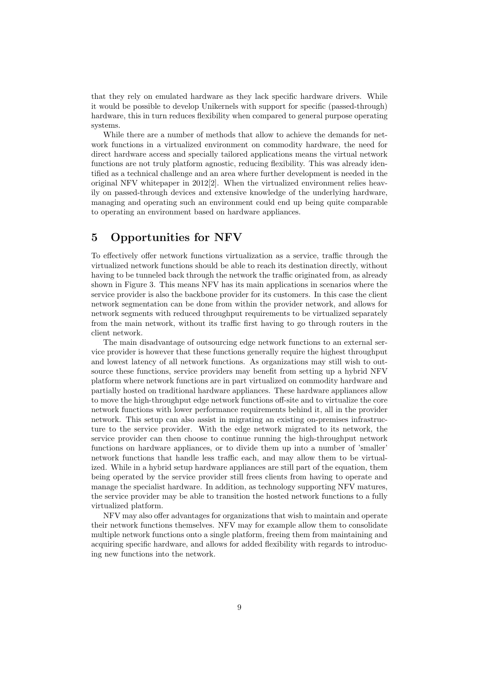that they rely on emulated hardware as they lack specific hardware drivers. While it would be possible to develop Unikernels with support for specific (passed-through) hardware, this in turn reduces flexibility when compared to general purpose operating systems.

While there are a number of methods that allow to achieve the demands for network functions in a virtualized environment on commodity hardware, the need for direct hardware access and specially tailored applications means the virtual network functions are not truly platform agnostic, reducing flexibility. This was already identified as a technical challenge and an area where further development is needed in the original NFV whitepaper in 2012[2]. When the virtualized environment relies heavily on passed-through devices and extensive knowledge of the underlying hardware, managing and operating such an environment could end up being quite comparable to operating an environment based on hardware appliances.

### 5 Opportunities for NFV

To effectively offer network functions virtualization as a service, traffic through the virtualized network functions should be able to reach its destination directly, without having to be tunneled back through the network the traffic originated from, as already shown in Figure 3. This means NFV has its main applications in scenarios where the service provider is also the backbone provider for its customers. In this case the client network segmentation can be done from within the provider network, and allows for network segments with reduced throughput requirements to be virtualized separately from the main network, without its traffic first having to go through routers in the client network.

The main disadvantage of outsourcing edge network functions to an external service provider is however that these functions generally require the highest throughput and lowest latency of all network functions. As organizations may still wish to outsource these functions, service providers may benefit from setting up a hybrid NFV platform where network functions are in part virtualized on commodity hardware and partially hosted on traditional hardware appliances. These hardware appliances allow to move the high-throughput edge network functions off-site and to virtualize the core network functions with lower performance requirements behind it, all in the provider network. This setup can also assist in migrating an existing on-premises infrastructure to the service provider. With the edge network migrated to its network, the service provider can then choose to continue running the high-throughput network functions on hardware appliances, or to divide them up into a number of 'smaller' network functions that handle less traffic each, and may allow them to be virtualized. While in a hybrid setup hardware appliances are still part of the equation, them being operated by the service provider still frees clients from having to operate and manage the specialist hardware. In addition, as technology supporting NFV matures, the service provider may be able to transition the hosted network functions to a fully virtualized platform.

NFV may also offer advantages for organizations that wish to maintain and operate their network functions themselves. NFV may for example allow them to consolidate multiple network functions onto a single platform, freeing them from maintaining and acquiring specific hardware, and allows for added flexibility with regards to introducing new functions into the network.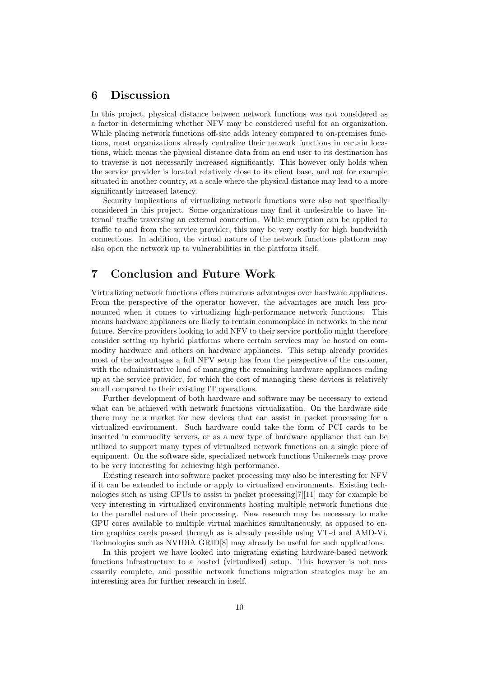# 6 Discussion

In this project, physical distance between network functions was not considered as a factor in determining whether NFV may be considered useful for an organization. While placing network functions off-site adds latency compared to on-premises functions, most organizations already centralize their network functions in certain locations, which means the physical distance data from an end user to its destination has to traverse is not necessarily increased significantly. This however only holds when the service provider is located relatively close to its client base, and not for example situated in another country, at a scale where the physical distance may lead to a more significantly increased latency.

Security implications of virtualizing network functions were also not specifically considered in this project. Some organizations may find it undesirable to have 'internal' traffic traversing an external connection. While encryption can be applied to traffic to and from the service provider, this may be very costly for high bandwidth connections. In addition, the virtual nature of the network functions platform may also open the network up to vulnerabilities in the platform itself.

## 7 Conclusion and Future Work

Virtualizing network functions offers numerous advantages over hardware appliances. From the perspective of the operator however, the advantages are much less pronounced when it comes to virtualizing high-performance network functions. This means hardware appliances are likely to remain commonplace in networks in the near future. Service providers looking to add NFV to their service portfolio might therefore consider setting up hybrid platforms where certain services may be hosted on commodity hardware and others on hardware appliances. This setup already provides most of the advantages a full NFV setup has from the perspective of the customer, with the administrative load of managing the remaining hardware appliances ending up at the service provider, for which the cost of managing these devices is relatively small compared to their existing IT operations.

Further development of both hardware and software may be necessary to extend what can be achieved with network functions virtualization. On the hardware side there may be a market for new devices that can assist in packet processing for a virtualized environment. Such hardware could take the form of PCI cards to be inserted in commodity servers, or as a new type of hardware appliance that can be utilized to support many types of virtualized network functions on a single piece of equipment. On the software side, specialized network functions Unikernels may prove to be very interesting for achieving high performance.

Existing research into software packet processing may also be interesting for NFV if it can be extended to include or apply to virtualized environments. Existing technologies such as using GPUs to assist in packet processing[7][11] may for example be very interesting in virtualized environments hosting multiple network functions due to the parallel nature of their processing. New research may be necessary to make GPU cores available to multiple virtual machines simultaneously, as opposed to entire graphics cards passed through as is already possible using VT-d and AMD-Vi. Technologies such as NVIDIA GRID[8] may already be useful for such applications.

In this project we have looked into migrating existing hardware-based network functions infrastructure to a hosted (virtualized) setup. This however is not necessarily complete, and possible network functions migration strategies may be an interesting area for further research in itself.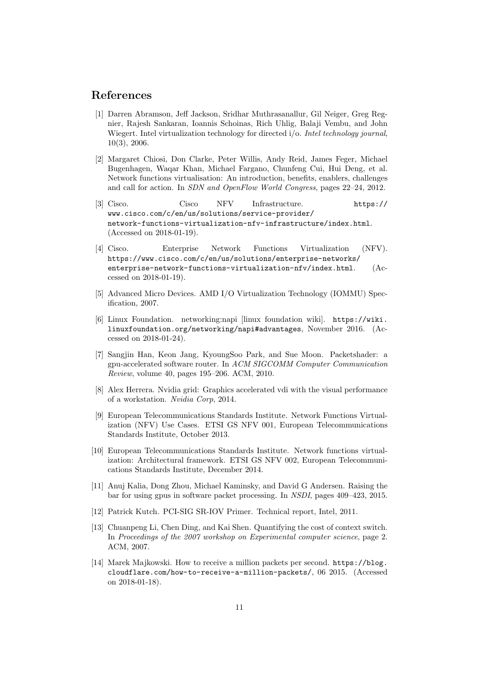#### References

- [1] Darren Abramson, Jeff Jackson, Sridhar Muthrasanallur, Gil Neiger, Greg Regnier, Rajesh Sankaran, Ioannis Schoinas, Rich Uhlig, Balaji Vembu, and John Wiegert. Intel virtualization technology for directed i/o. Intel technology journal, 10(3), 2006.
- [2] Margaret Chiosi, Don Clarke, Peter Willis, Andy Reid, James Feger, Michael Bugenhagen, Waqar Khan, Michael Fargano, Chunfeng Cui, Hui Deng, et al. Network functions virtualisation: An introduction, benefits, enablers, challenges and call for action. In SDN and OpenFlow World Congress, pages 22–24, 2012.
- [3] Cisco. Cisco NFV Infrastructure. https:// www.cisco.com/c/en/us/solutions/service-provider/ network-functions-virtualization-nfv-infrastructure/index.html. (Accessed on 2018-01-19).
- [4] Cisco. Enterprise Network Functions Virtualization (NFV). https://www.cisco.com/c/en/us/solutions/enterprise-networks/ enterprise-network-functions-virtualization-nfv/index.html. (Accessed on 2018-01-19).
- [5] Advanced Micro Devices. AMD I/O Virtualization Technology (IOMMU) Specification, 2007.
- [6] Linux Foundation. networking:napi [linux foundation wiki]. https://wiki. linuxfoundation.org/networking/napi#advantages, November 2016. (Accessed on 2018-01-24).
- [7] Sangjin Han, Keon Jang, KyoungSoo Park, and Sue Moon. Packetshader: a gpu-accelerated software router. In ACM SIGCOMM Computer Communication Review, volume 40, pages 195–206. ACM, 2010.
- [8] Alex Herrera. Nvidia grid: Graphics accelerated vdi with the visual performance of a workstation. Nvidia Corp, 2014.
- [9] European Telecommunications Standards Institute. Network Functions Virtualization (NFV) Use Cases. ETSI GS NFV 001, European Telecommunications Standards Institute, October 2013.
- [10] European Telecommunications Standards Institute. Network functions virtualization: Architectural framework. ETSI GS NFV 002, European Telecommunications Standards Institute, December 2014.
- [11] Anuj Kalia, Dong Zhou, Michael Kaminsky, and David G Andersen. Raising the bar for using gpus in software packet processing. In NSDI, pages 409–423, 2015.
- [12] Patrick Kutch. PCI-SIG SR-IOV Primer. Technical report, Intel, 2011.
- [13] Chuanpeng Li, Chen Ding, and Kai Shen. Quantifying the cost of context switch. In Proceedings of the 2007 workshop on Experimental computer science, page 2. ACM, 2007.
- [14] Marek Majkowski. How to receive a million packets per second. https://blog. cloudflare.com/how-to-receive-a-million-packets/, 06 2015. (Accessed on 2018-01-18).